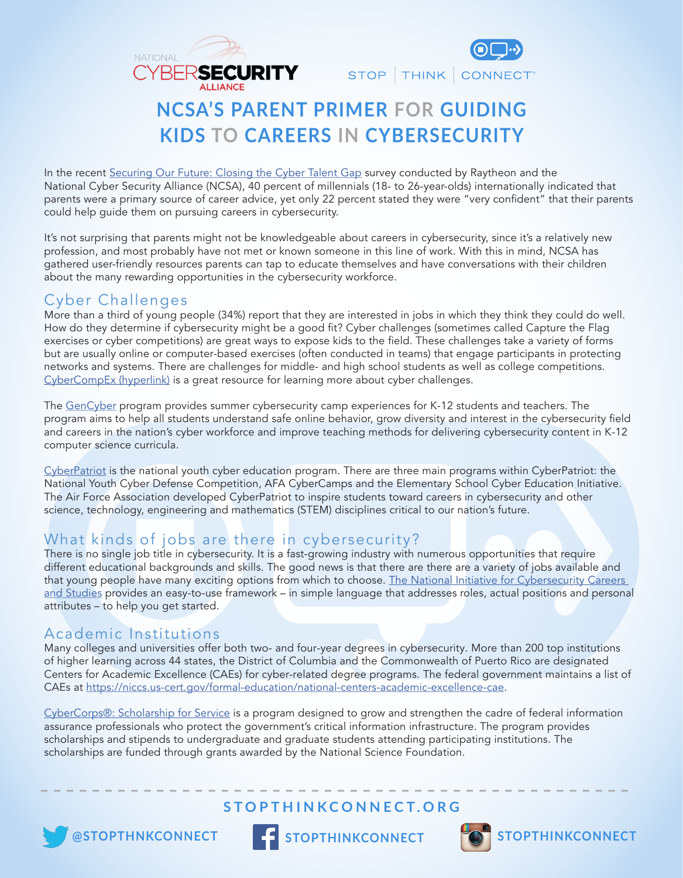



# **NCSA'S PARENT PRIMER FOR GUIDING KIDS TO CAREERS IN CYBERSECURITY**

In the recent Securing Our Future: Closing the Cyber Talent Gap survey conducted by Raytheon and the National Cyber Security Alliance (NCSA), 40 percent of millennials (18- to 26-year-olds) internationally indicated that parents were a primary source of career advice, yet only 22 percent stated they were "very confident" that their parents could help guide them on pursuing careers in cybersecurity.

It's not surprising that parents might not be knowledgeable about careers in cybersecurity, since it's a relatively new profession, and most probably have not met or known someone in this line of work. With this in mind, NCSA has gathered user-friendly resources parents can tap to educate themselves and have conversations with their children about the many rewarding opportunities in the cybersecurity workforce.

### Cyber Challenges

More than a third of young people (34%) report that they are interested in jobs in which they think they could do well. How do they determine if cybersecurity might be a good fit? Cyber challenges (sometimes called Capture the Flag exercises or cyber competitions) are great ways to expose kids to the field. These challenges take a variety of forms but are usually online or computer-based exercises (often conducted in teams) that engage participants in protecting networks and systems. There are challenges for middle- and high school students as well as college competitions. CyberCompEx (hyperlink) is a great resource for learning more about cyber challenges.

The GenCyber program provides summer cybersecurity camp experiences for K-12 students and teachers. The program aims to help all students understand safe online behavior, grow diversity and interest in the cybersecurity feld and careers in the nation's cyber workforce and improve teaching methods for delivering cybersecurity content in K-12 computer science curricula.

CyberPatriot is the national youth cyber education program. There are three main programs within CyberPatriot: the National Youth Cyber Defense Competition, AFA CyberCamps and the Elementary School Cyber Education Initiative. The Air Force Association developed CyberPatriot to inspire students toward careers in cybersecurity and other science, technology, engineering and mathematics (STEM) disciplines critical to our nation's future.

### What kinds of jobs are there in cybersecurity?

There is no single job title in cybersecurity. It is a fast-growing industry with numerous opportunities that require different educational backgrounds and skills. The good news is that there are there are a variety of jobs available and that young people have many exciting options from which to choose. The National Initiative for Cybersecurity Careers and Studies provides an easy-to-use framework – in simple language that addresses roles, actual positions and personal attributes – to help you get started.

### Academic Institutions

Many colleges and universities offer both two- and four-year degrees in cybersecurity. More than 200 top institutions of higher learning across 44 states, the District of Columbia and the Commonwealth of Puerto Rico are designated Centers for Academic Excellence (CAEs) for cyber-related degree programs. The federal government maintains a list of CAEs at https://niccs.us-cert.gov/formal-education/national-centers-academic-excellence-cae.

CyberCorps®: Scholarship for Service is a program designed to grow and strengthen the cadre of federal information assurance professionals who protect the government's critical information infrastructure. The program provides scholarships and stipends to undergraduate and graduate students attending participating institutions. The scholarships are funded through grants awarded by the National Science Foundation.

## **STOPTHINKCONNECT.ORG**